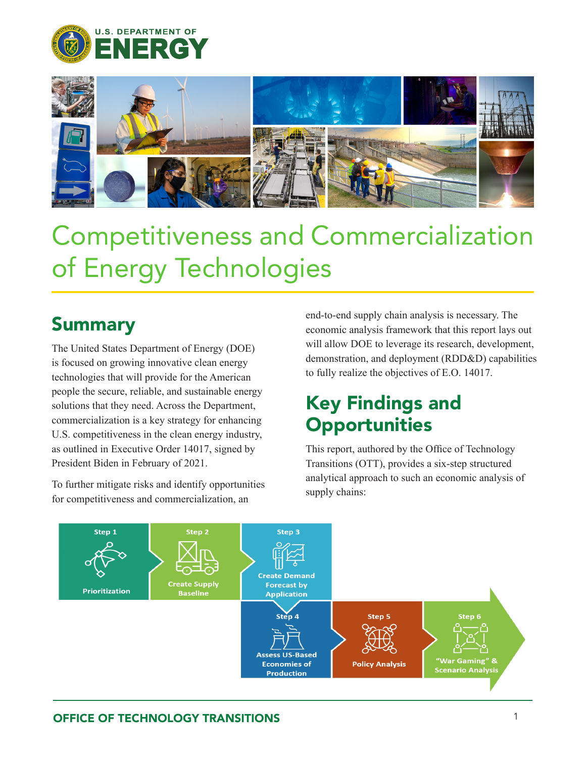



## Competitiveness and Commercialization of Energy Technologies

## Summary

The United States Department of Energy (DOE) is focused on growing innovative clean energy technologies that will provide for the American people the secure, reliable, and sustainable energy solutions that they need. Across the Department, commercialization is a key strategy for enhancing U.S. competitiveness in the clean energy industry, as outlined in Executive Order 14017, signed by President Biden in February of 2021.

To further mitigate risks and identify opportunities for competitiveness and commercialization, an

end-to-end supply chain analysis is necessary. The economic analysis framework that this report lays out will allow DOE to leverage its research, development, demonstration, and deployment (RDD&D) capabilities to fully realize the objectives of E.O. 14017.

## Key Findings and **Opportunities**

This report, authored by the Office of Technology Transitions (OTT), provides a six-step structured analytical approach to such an economic analysis of supply chains:

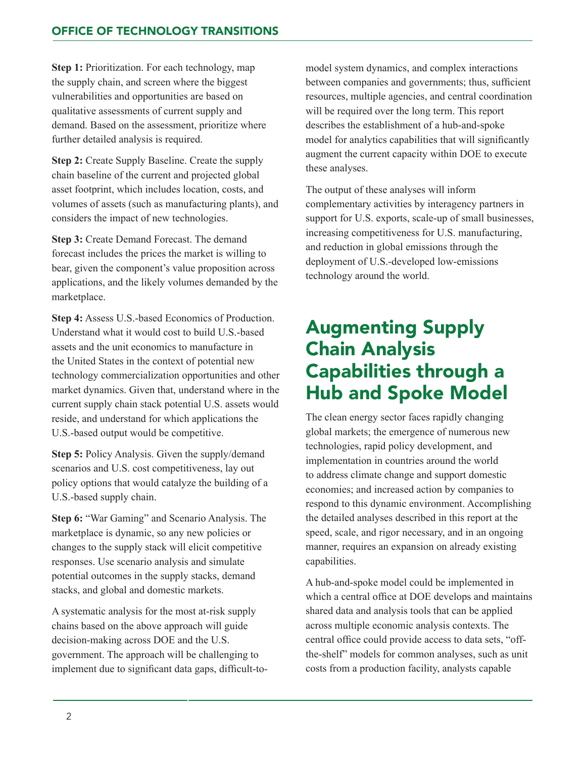**Step 1:** Prioritization. For each technology, map the supply chain, and screen where the biggest vulnerabilities and opportunities are based on qualitative assessments of current supply and demand. Based on the assessment, prioritize where further detailed analysis is required.

**Step 2:** Create Supply Baseline. Create the supply chain baseline of the current and projected global asset footprint, which includes location, costs, and volumes of assets (such as manufacturing plants), and considers the impact of new technologies.

**Step 3:** Create Demand Forecast. The demand forecast includes the prices the market is willing to bear, given the component's value proposition across applications, and the likely volumes demanded by the marketplace.

**Step 4:** Assess U.S.-based Economics of Production. Understand what it would cost to build U.S.-based assets and the unit economics to manufacture in the United States in the context of potential new technology commercialization opportunities and other market dynamics. Given that, understand where in the current supply chain stack potential U.S. assets would reside, and understand for which applications the U.S.-based output would be competitive.

**Step 5:** Policy Analysis. Given the supply/demand scenarios and U.S. cost competitiveness, lay out policy options that would catalyze the building of a U.S.-based supply chain.

**Step 6:** "War Gaming" and Scenario Analysis. The marketplace is dynamic, so any new policies or changes to the supply stack will elicit competitive responses. Use scenario analysis and simulate potential outcomes in the supply stacks, demand stacks, and global and domestic markets.

A systematic analysis for the most at-risk supply chains based on the above approach will guide decision-making across DOE and the U.S. government. The approach will be challenging to implement due to significant data gaps, difficult-to-

model system dynamics, and complex interactions between companies and governments; thus, sufficient resources, multiple agencies, and central coordination will be required over the long term. This report describes the establishment of a hub-and-spoke model for analytics capabilities that will significantly augment the current capacity within DOE to execute these analyses.

The output of these analyses will inform complementary activities by interagency partners in support for U.S. exports, scale-up of small businesses, increasing competitiveness for U.S. manufacturing, and reduction in global emissions through the deployment of U.S.-developed low-emissions technology around the world.

## Augmenting Supply Chain Analysis Capabilities through a Hub and Spoke Model

The clean energy sector faces rapidly changing global markets; the emergence of numerous new technologies, rapid policy development, and implementation in countries around the world to address climate change and support domestic economies; and increased action by companies to respond to this dynamic environment. Accomplishing the detailed analyses described in this report at the speed, scale, and rigor necessary, and in an ongoing manner, requires an expansion on already existing capabilities.

A hub-and-spoke model could be implemented in which a central office at DOE develops and maintains shared data and analysis tools that can be applied across multiple economic analysis contexts. The central office could provide access to data sets, "offthe-shelf" models for common analyses, such as unit costs from a production facility, analysts capable